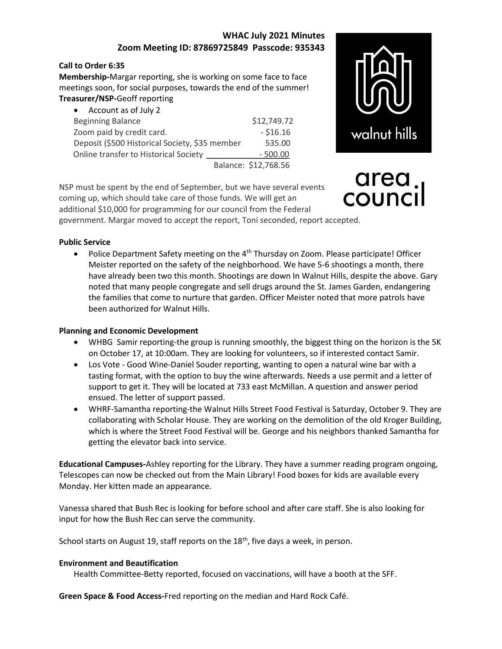## WHAC July 2021 Minutes Zoom Meeting ID: 87869725849 Passcode: 935343

#### Call to Order 6:35

Membership-Margar reporting, she is working on some face to face meetings soon, for social purposes, towards the end of the summer! Treasurer/NSP-Geoff reporting

| • Account as of July 2                         |                      |
|------------------------------------------------|----------------------|
| <b>Beginning Balance</b>                       | \$12,749.72          |
| Zoom paid by credit card.                      | $- $16.16$           |
| Deposit (\$500 Historical Society, \$35 member | 535.00               |
| Online transfer to Historical Society          | $-500.00$            |
|                                                | Balance: \$12,768.56 |

NSP must be spent by the end of September, but we have several events

coming up, which should take care of those funds. We will get an



# area counci

additional \$10,000 for programming for our council from the Federal government. Margar moved to accept the report, Toni seconded, report accepted.

#### Public Service

• Police Department Safety meeting on the  $4<sup>th</sup>$  Thursday on Zoom. Please participate! Officer Meister reported on the safety of the neighborhood. We have 5-6 shootings a month, there have already been two this month. Shootings are down In Walnut Hills, despite the above. Gary noted that many people congregate and sell drugs around the St. James Garden, endangering the families that come to nurture that garden. Officer Meister noted that more patrols have been authorized for Walnut Hills.

### Planning and Economic Development

- WHBG Samir reporting-the group is running smoothly, the biggest thing on the horizon is the 5K on October 17, at 10:00am. They are looking for volunteers, so if interested contact Samir.
- Los Vote Good Wine-Daniel Souder reporting, wanting to open a natural wine bar with a tasting format, with the option to buy the wine afterwards. Needs a use permit and a letter of support to get it. They will be located at 733 east McMillan. A question and answer period ensued. The letter of support passed.
- WHRF-Samantha reporting-the Walnut Hills Street Food Festival is Saturday, October 9. They are collaborating with Scholar House. They are working on the demolition of the old Kroger Building, which is where the Street Food Festival will be. George and his neighbors thanked Samantha for getting the elevator back into service.

Educational Campuses-Ashley reporting for the Library. They have a summer reading program ongoing, Telescopes can now be checked out from the Main Library! Food boxes for kids are available every Monday. Her kitten made an appearance.

Vanessa shared that Bush Rec is looking for before school and after care staff. She is also looking for input for how the Bush Rec can serve the community.

School starts on August 19, staff reports on the  $18<sup>th</sup>$ , five days a week, in person.

### Environment and Beautification

Health Committee-Betty reported, focused on vaccinations, will have a booth at the SFF.

Green Space & Food Access-Fred reporting on the median and Hard Rock Café.